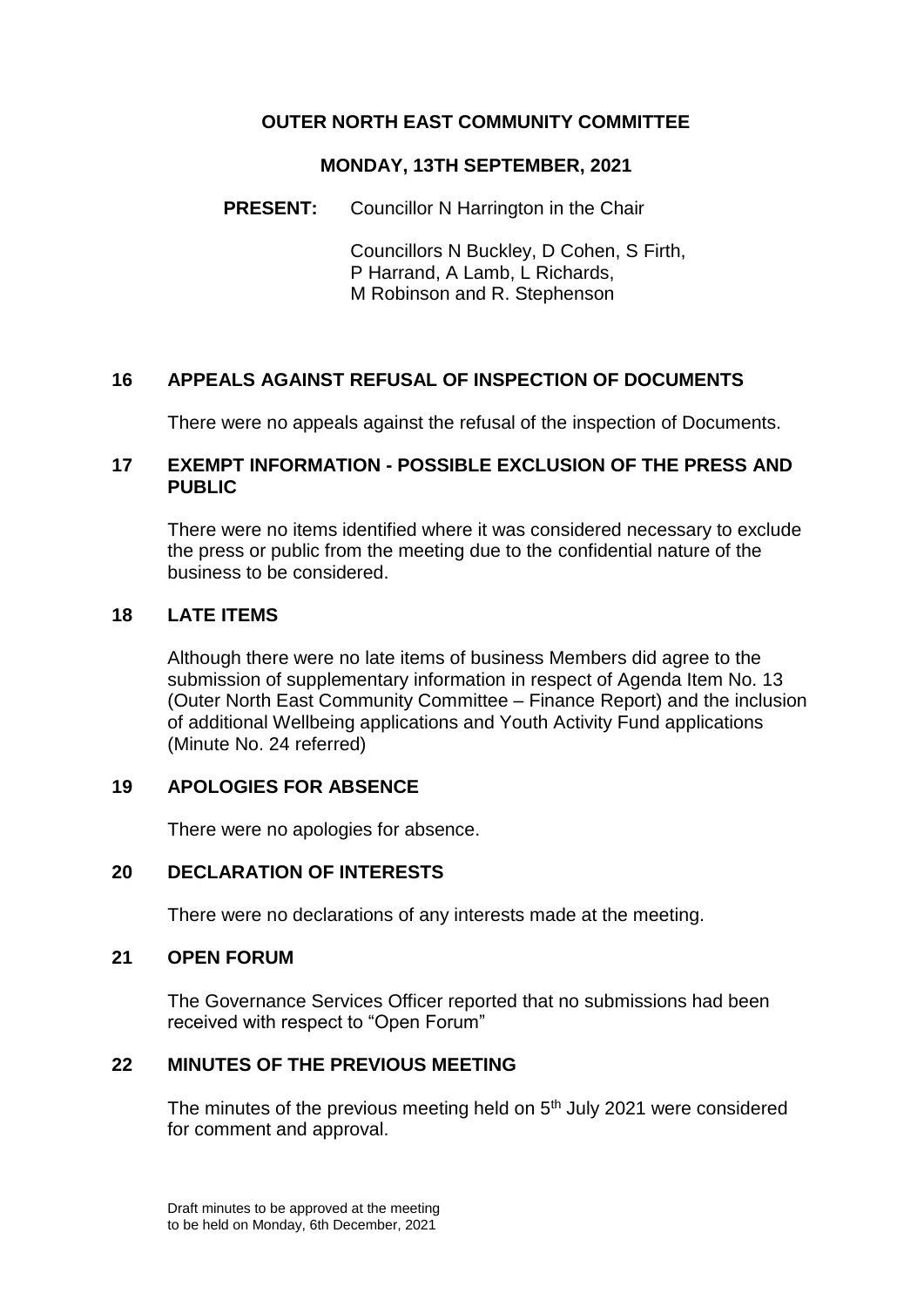# **OUTER NORTH EAST COMMUNITY COMMITTEE**

#### **MONDAY, 13TH SEPTEMBER, 2021**

## **PRESENT:** Councillor N Harrington in the Chair

Councillors N Buckley, D Cohen, S Firth, P Harrand, A Lamb, L Richards, M Robinson and R. Stephenson

# **16 APPEALS AGAINST REFUSAL OF INSPECTION OF DOCUMENTS**

There were no appeals against the refusal of the inspection of Documents.

## **17 EXEMPT INFORMATION - POSSIBLE EXCLUSION OF THE PRESS AND PUBLIC**

There were no items identified where it was considered necessary to exclude the press or public from the meeting due to the confidential nature of the business to be considered.

## **18 LATE ITEMS**

Although there were no late items of business Members did agree to the submission of supplementary information in respect of Agenda Item No. 13 (Outer North East Community Committee – Finance Report) and the inclusion of additional Wellbeing applications and Youth Activity Fund applications (Minute No. 24 referred)

## **19 APOLOGIES FOR ABSENCE**

There were no apologies for absence.

## **20 DECLARATION OF INTERESTS**

There were no declarations of any interests made at the meeting.

#### **21 OPEN FORUM**

The Governance Services Officer reported that no submissions had been received with respect to "Open Forum"

# **22 MINUTES OF THE PREVIOUS MEETING**

The minutes of the previous meeting held on 5<sup>th</sup> July 2021 were considered for comment and approval.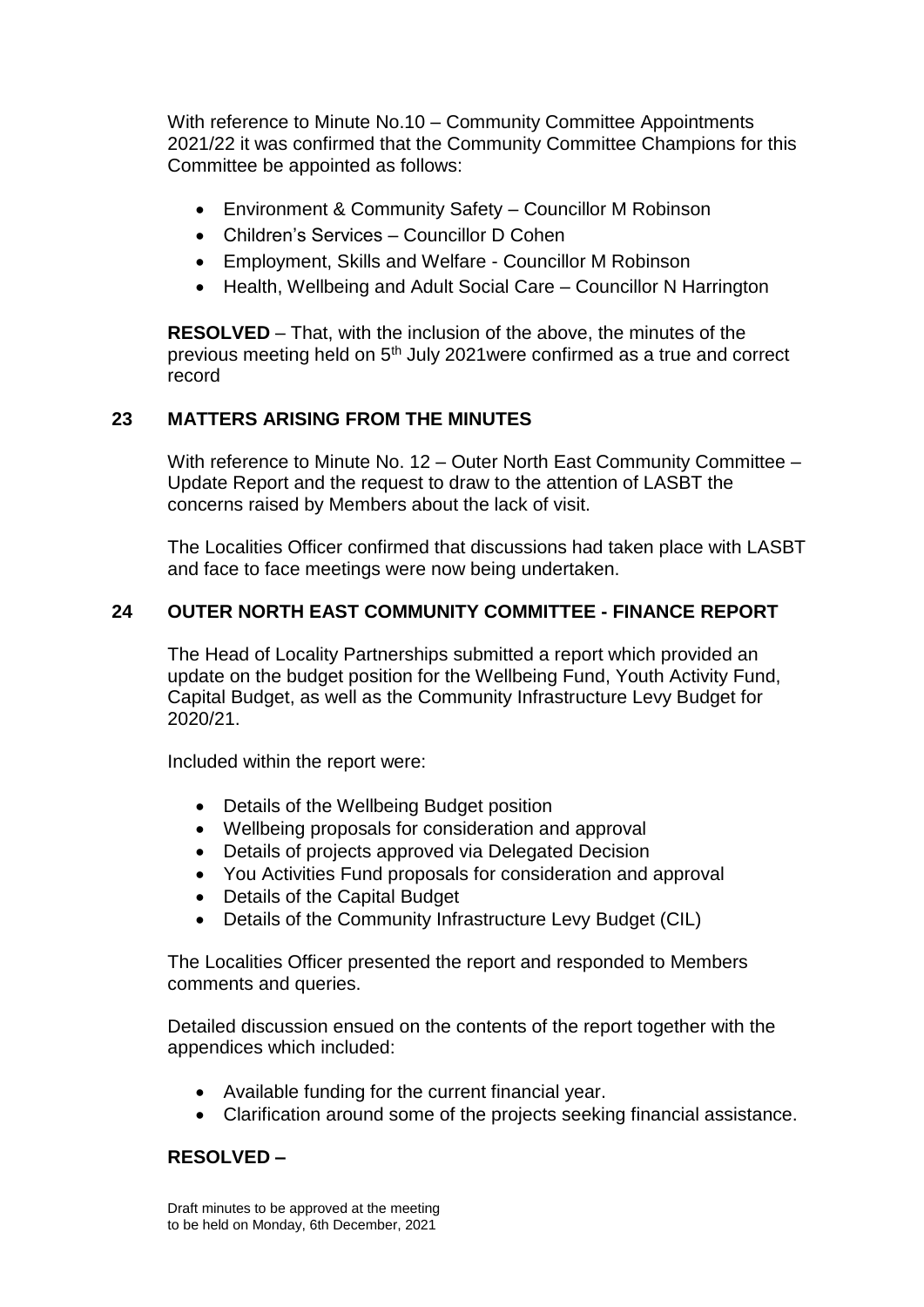With reference to Minute No.10 – Community Committee Appointments 2021/22 it was confirmed that the Community Committee Champions for this Committee be appointed as follows:

- Environment & Community Safety Councillor M Robinson
- Children's Services Councillor D Cohen
- Employment, Skills and Welfare Councillor M Robinson
- Health, Wellbeing and Adult Social Care Councillor N Harrington

**RESOLVED** – That, with the inclusion of the above, the minutes of the previous meeting held on 5th July 2021were confirmed as a true and correct record

# **23 MATTERS ARISING FROM THE MINUTES**

With reference to Minute No. 12 – Outer North East Community Committee – Update Report and the request to draw to the attention of LASBT the concerns raised by Members about the lack of visit.

The Localities Officer confirmed that discussions had taken place with LASBT and face to face meetings were now being undertaken.

## **24 OUTER NORTH EAST COMMUNITY COMMITTEE - FINANCE REPORT**

The Head of Locality Partnerships submitted a report which provided an update on the budget position for the Wellbeing Fund, Youth Activity Fund, Capital Budget, as well as the Community Infrastructure Levy Budget for 2020/21.

Included within the report were:

- Details of the Wellbeing Budget position
- Wellbeing proposals for consideration and approval
- Details of projects approved via Delegated Decision
- You Activities Fund proposals for consideration and approval
- Details of the Capital Budget
- Details of the Community Infrastructure Levy Budget (CIL)

The Localities Officer presented the report and responded to Members comments and queries.

Detailed discussion ensued on the contents of the report together with the appendices which included:

- Available funding for the current financial year.
- Clarification around some of the projects seeking financial assistance.

## **RESOLVED –**

Draft minutes to be approved at the meeting to be held on Monday, 6th December, 2021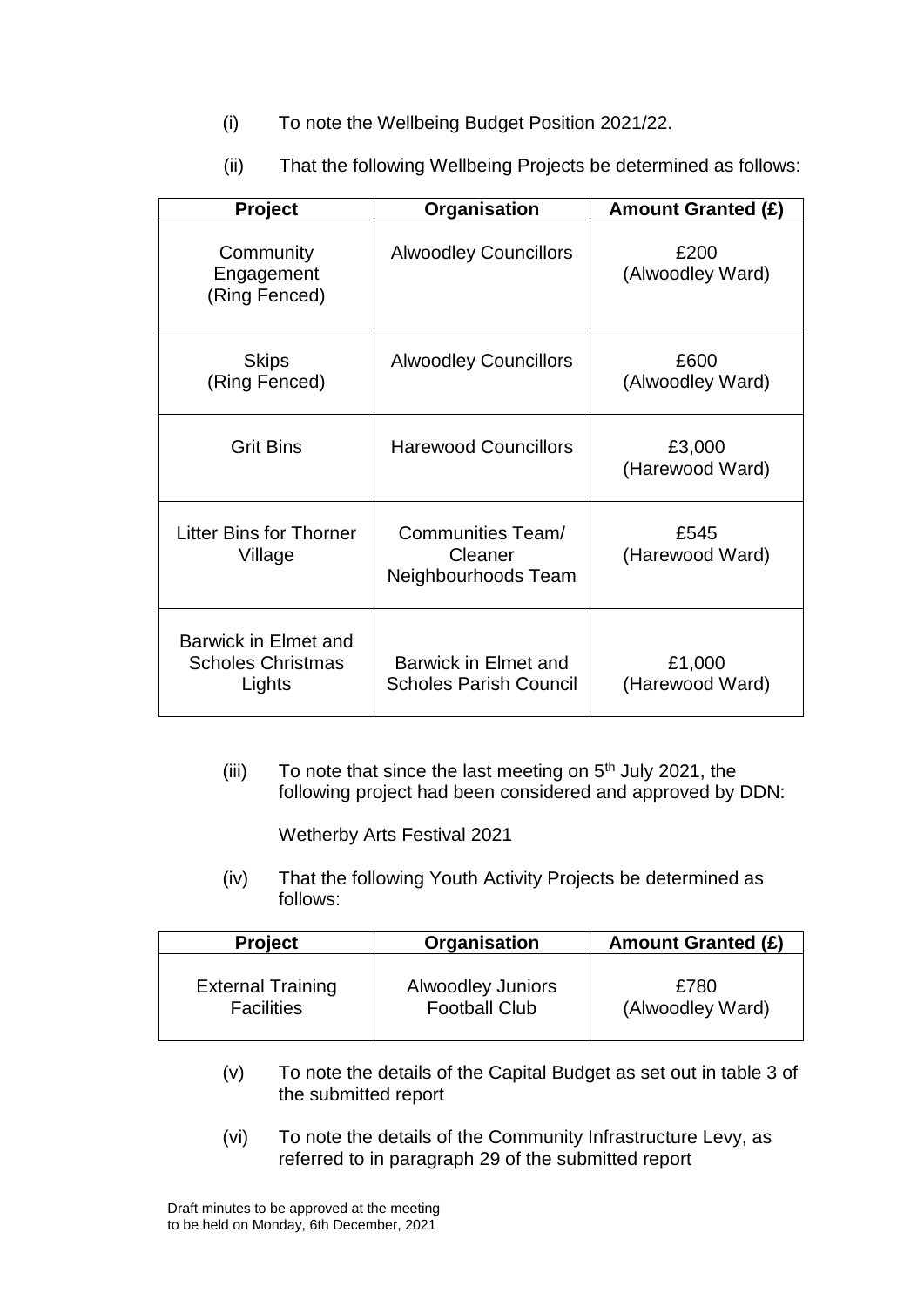- (i) To note the Wellbeing Budget Position 2021/22.
- (ii) That the following Wellbeing Projects be determined as follows:

| Project                                                    | Organisation                                        | <b>Amount Granted (£)</b> |
|------------------------------------------------------------|-----------------------------------------------------|---------------------------|
| Community<br>Engagement<br>(Ring Fenced)                   | <b>Alwoodley Councillors</b>                        | £200<br>(Alwoodley Ward)  |
| <b>Skips</b><br>(Ring Fenced)                              | <b>Alwoodley Councillors</b>                        | £600<br>(Alwoodley Ward)  |
| <b>Grit Bins</b>                                           | <b>Harewood Councillors</b>                         | £3,000<br>(Harewood Ward) |
| <b>Litter Bins for Thorner</b><br>Village                  | Communities Team/<br>Cleaner<br>Neighbourhoods Team | £545<br>(Harewood Ward)   |
| Barwick in Elmet and<br><b>Scholes Christmas</b><br>Lights | Barwick in Elmet and<br>Scholes Parish Council      | £1,000<br>(Harewood Ward) |

(iii) To note that since the last meeting on  $5<sup>th</sup>$  July 2021, the following project had been considered and approved by DDN:

Wetherby Arts Festival 2021

(iv) That the following Youth Activity Projects be determined as follows:

| <b>Project</b>           | Organisation             | <b>Amount Granted (£)</b> |
|--------------------------|--------------------------|---------------------------|
| <b>External Training</b> | <b>Alwoodley Juniors</b> | £780                      |
| <b>Facilities</b>        | <b>Football Club</b>     | (Alwoodley Ward)          |

- (v) To note the details of the Capital Budget as set out in table 3 of the submitted report
- (vi) To note the details of the Community Infrastructure Levy, as referred to in paragraph 29 of the submitted report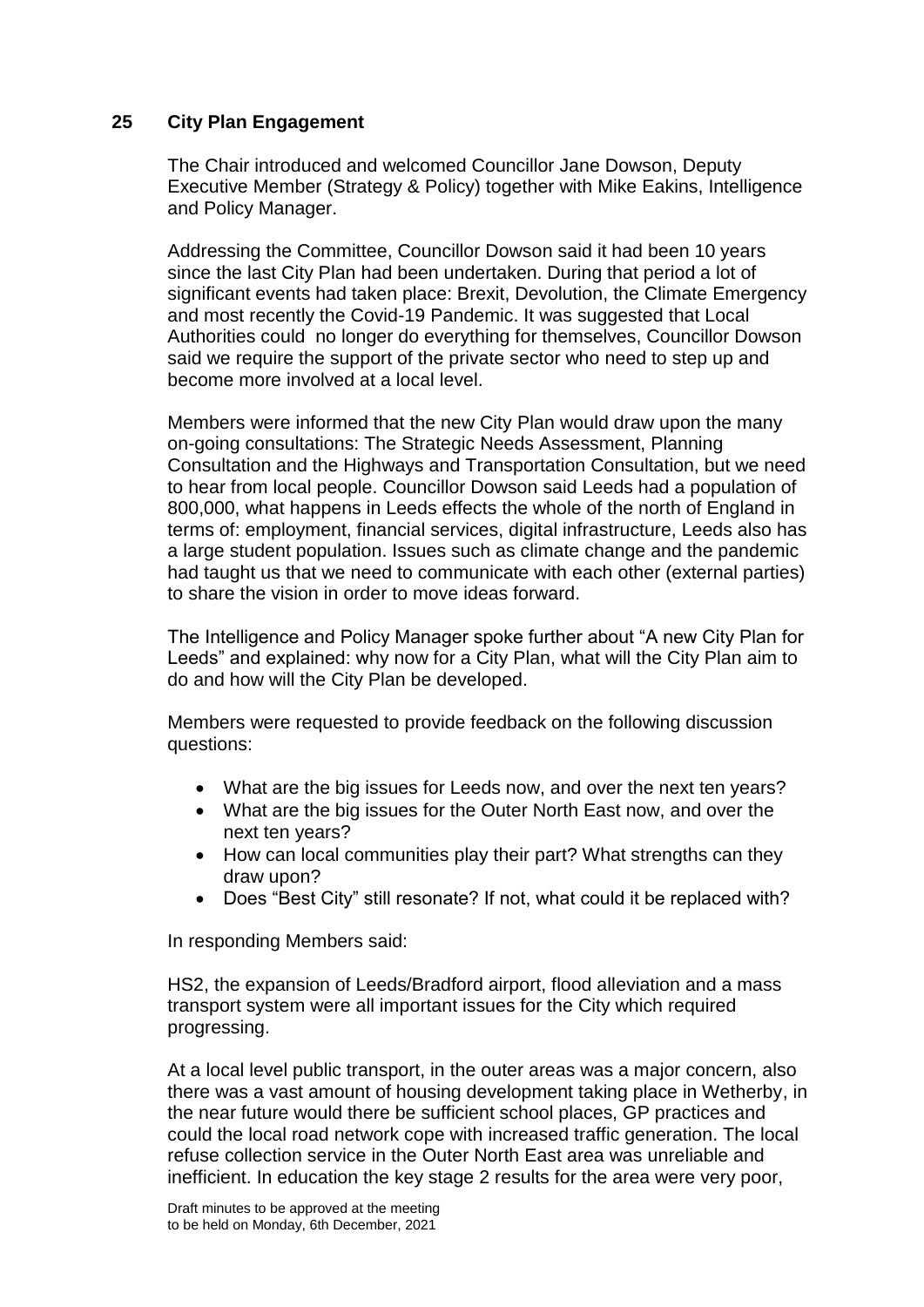## **25 City Plan Engagement**

The Chair introduced and welcomed Councillor Jane Dowson, Deputy Executive Member (Strategy & Policy) together with Mike Eakins, Intelligence and Policy Manager.

Addressing the Committee, Councillor Dowson said it had been 10 years since the last City Plan had been undertaken. During that period a lot of significant events had taken place: Brexit, Devolution, the Climate Emergency and most recently the Covid-19 Pandemic. It was suggested that Local Authorities could no longer do everything for themselves, Councillor Dowson said we require the support of the private sector who need to step up and become more involved at a local level.

Members were informed that the new City Plan would draw upon the many on-going consultations: The Strategic Needs Assessment, Planning Consultation and the Highways and Transportation Consultation, but we need to hear from local people. Councillor Dowson said Leeds had a population of 800,000, what happens in Leeds effects the whole of the north of England in terms of: employment, financial services, digital infrastructure, Leeds also has a large student population. Issues such as climate change and the pandemic had taught us that we need to communicate with each other (external parties) to share the vision in order to move ideas forward.

The Intelligence and Policy Manager spoke further about "A new City Plan for Leeds" and explained: why now for a City Plan, what will the City Plan aim to do and how will the City Plan be developed.

Members were requested to provide feedback on the following discussion questions:

- What are the big issues for Leeds now, and over the next ten years?
- What are the big issues for the Outer North East now, and over the next ten years?
- How can local communities play their part? What strengths can they draw upon?
- Does "Best City" still resonate? If not, what could it be replaced with?

In responding Members said:

HS2, the expansion of Leeds/Bradford airport, flood alleviation and a mass transport system were all important issues for the City which required progressing.

At a local level public transport, in the outer areas was a major concern, also there was a vast amount of housing development taking place in Wetherby, in the near future would there be sufficient school places, GP practices and could the local road network cope with increased traffic generation. The local refuse collection service in the Outer North East area was unreliable and inefficient. In education the key stage 2 results for the area were very poor,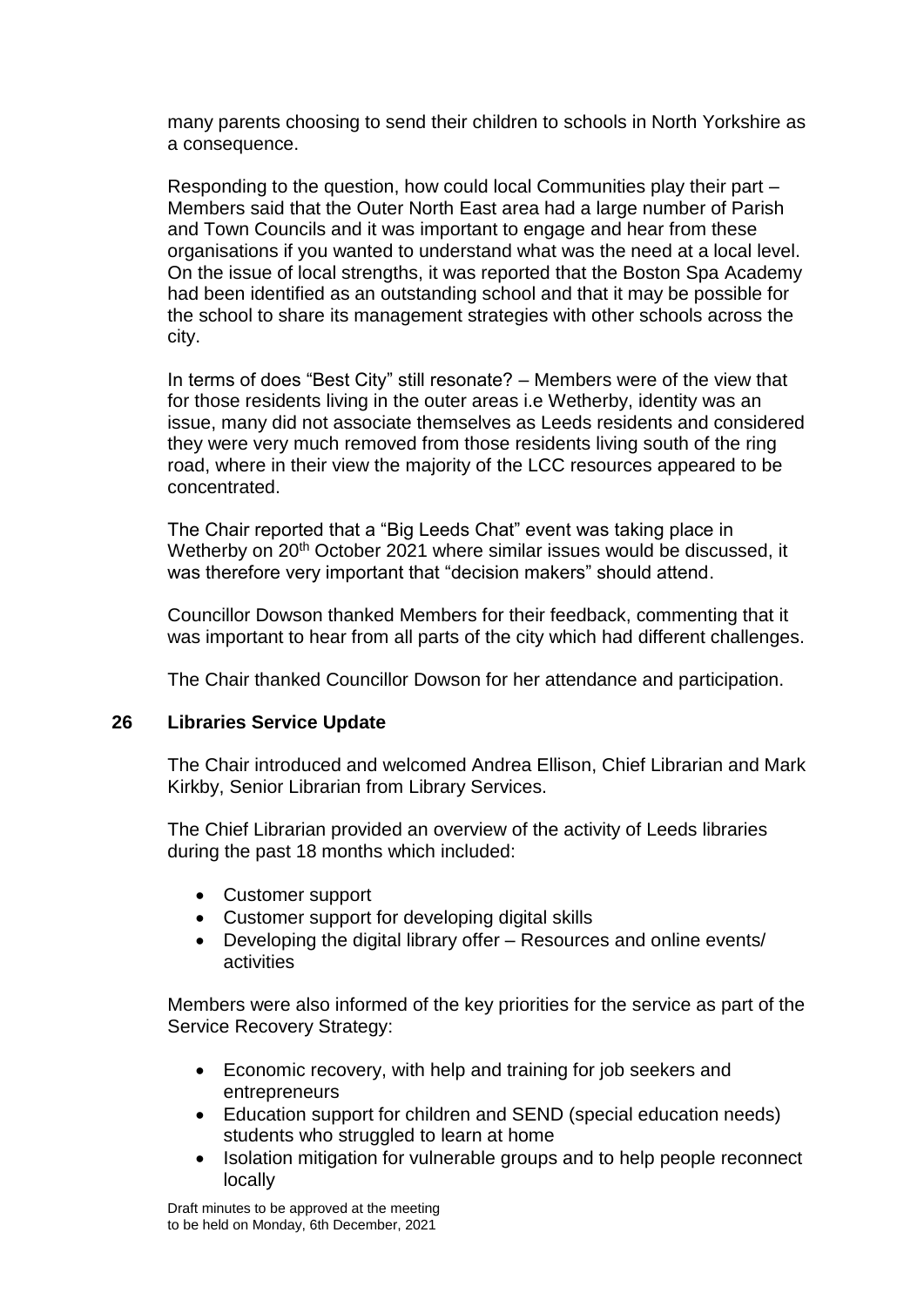many parents choosing to send their children to schools in North Yorkshire as a consequence.

Responding to the question, how could local Communities play their part – Members said that the Outer North East area had a large number of Parish and Town Councils and it was important to engage and hear from these organisations if you wanted to understand what was the need at a local level. On the issue of local strengths, it was reported that the Boston Spa Academy had been identified as an outstanding school and that it may be possible for the school to share its management strategies with other schools across the city.

In terms of does "Best City" still resonate? – Members were of the view that for those residents living in the outer areas i.e Wetherby, identity was an issue, many did not associate themselves as Leeds residents and considered they were very much removed from those residents living south of the ring road, where in their view the majority of the LCC resources appeared to be concentrated.

The Chair reported that a "Big Leeds Chat" event was taking place in Wetherby on 20<sup>th</sup> October 2021 where similar issues would be discussed, it was therefore very important that "decision makers" should attend.

Councillor Dowson thanked Members for their feedback, commenting that it was important to hear from all parts of the city which had different challenges.

The Chair thanked Councillor Dowson for her attendance and participation.

## **26 Libraries Service Update**

The Chair introduced and welcomed Andrea Ellison, Chief Librarian and Mark Kirkby, Senior Librarian from Library Services.

The Chief Librarian provided an overview of the activity of Leeds libraries during the past 18 months which included:

- Customer support
- Customer support for developing digital skills
- Developing the digital library offer Resources and online events/ activities

Members were also informed of the key priorities for the service as part of the Service Recovery Strategy:

- Economic recovery, with help and training for job seekers and entrepreneurs
- Education support for children and SEND (special education needs) students who struggled to learn at home
- Isolation mitigation for vulnerable groups and to help people reconnect locally

Draft minutes to be approved at the meeting to be held on Monday, 6th December, 2021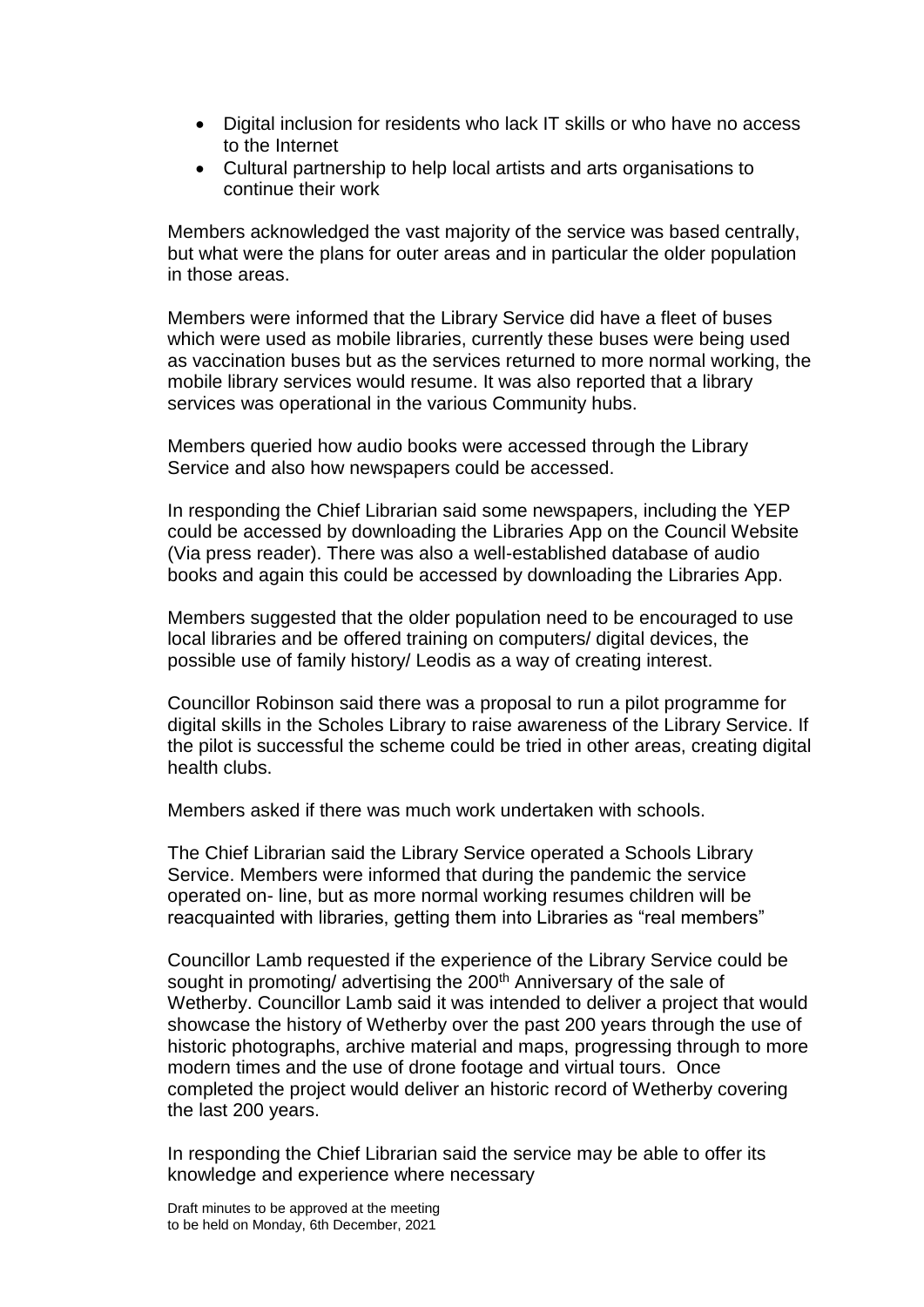- Digital inclusion for residents who lack IT skills or who have no access to the Internet
- Cultural partnership to help local artists and arts organisations to continue their work

Members acknowledged the vast majority of the service was based centrally, but what were the plans for outer areas and in particular the older population in those areas.

Members were informed that the Library Service did have a fleet of buses which were used as mobile libraries, currently these buses were being used as vaccination buses but as the services returned to more normal working, the mobile library services would resume. It was also reported that a library services was operational in the various Community hubs.

Members queried how audio books were accessed through the Library Service and also how newspapers could be accessed.

In responding the Chief Librarian said some newspapers, including the YEP could be accessed by downloading the Libraries App on the Council Website (Via press reader). There was also a well-established database of audio books and again this could be accessed by downloading the Libraries App.

Members suggested that the older population need to be encouraged to use local libraries and be offered training on computers/ digital devices, the possible use of family history/ Leodis as a way of creating interest.

Councillor Robinson said there was a proposal to run a pilot programme for digital skills in the Scholes Library to raise awareness of the Library Service. If the pilot is successful the scheme could be tried in other areas, creating digital health clubs.

Members asked if there was much work undertaken with schools.

The Chief Librarian said the Library Service operated a Schools Library Service. Members were informed that during the pandemic the service operated on- line, but as more normal working resumes children will be reacquainted with libraries, getting them into Libraries as "real members"

Councillor Lamb requested if the experience of the Library Service could be sought in promoting/ advertising the 200<sup>th</sup> Anniversary of the sale of Wetherby. Councillor Lamb said it was intended to deliver a project that would showcase the history of Wetherby over the past 200 years through the use of historic photographs, archive material and maps, progressing through to more modern times and the use of drone footage and virtual tours. Once completed the project would deliver an historic record of Wetherby covering the last 200 years.

In responding the Chief Librarian said the service may be able to offer its knowledge and experience where necessary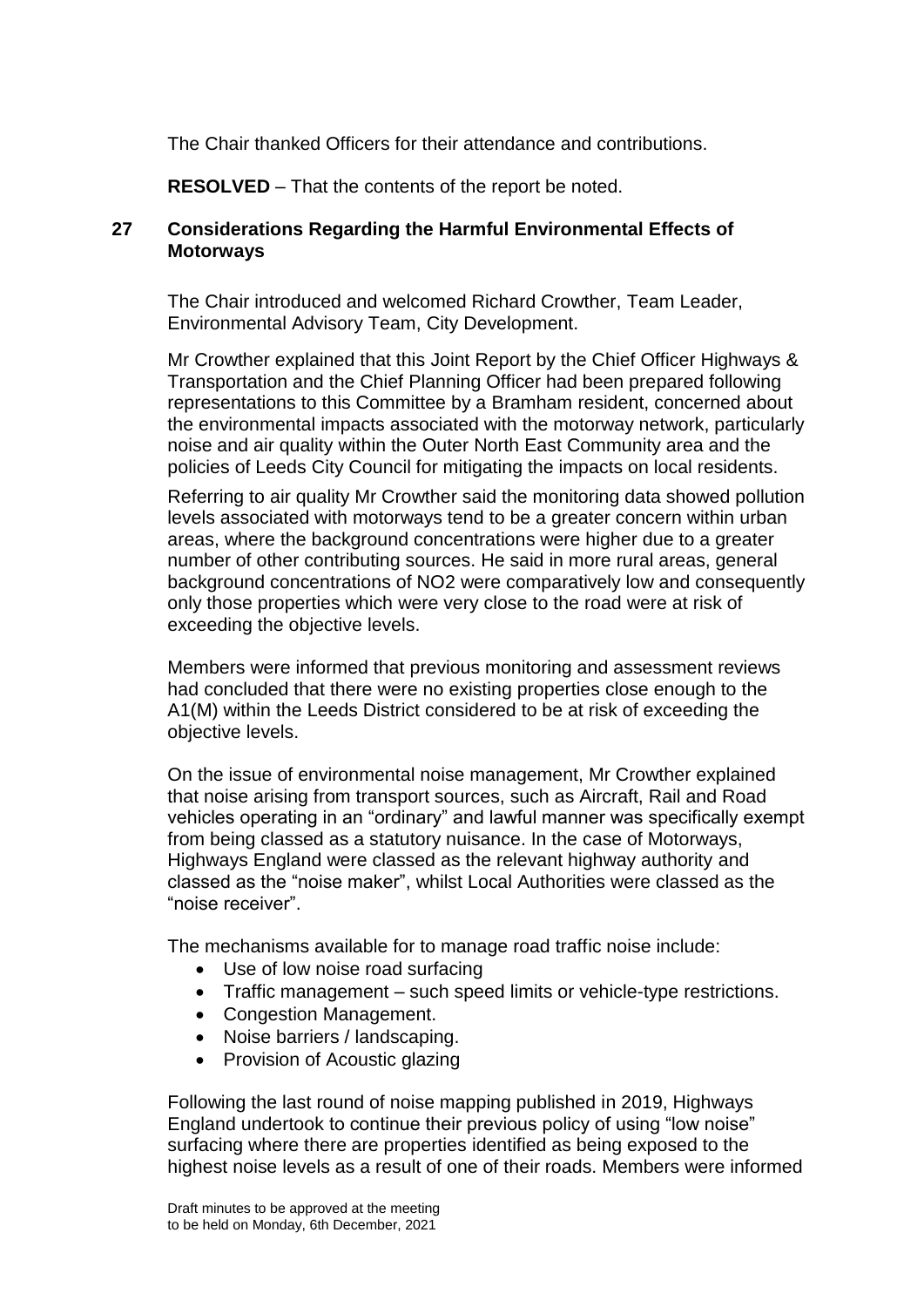The Chair thanked Officers for their attendance and contributions.

**RESOLVED** – That the contents of the report be noted.

## **27 Considerations Regarding the Harmful Environmental Effects of Motorways**

The Chair introduced and welcomed Richard Crowther, Team Leader, Environmental Advisory Team, City Development.

Mr Crowther explained that this Joint Report by the Chief Officer Highways & Transportation and the Chief Planning Officer had been prepared following representations to this Committee by a Bramham resident, concerned about the environmental impacts associated with the motorway network, particularly noise and air quality within the Outer North East Community area and the policies of Leeds City Council for mitigating the impacts on local residents.

Referring to air quality Mr Crowther said the monitoring data showed pollution levels associated with motorways tend to be a greater concern within urban areas, where the background concentrations were higher due to a greater number of other contributing sources. He said in more rural areas, general background concentrations of NO2 were comparatively low and consequently only those properties which were very close to the road were at risk of exceeding the objective levels.

Members were informed that previous monitoring and assessment reviews had concluded that there were no existing properties close enough to the A1(M) within the Leeds District considered to be at risk of exceeding the objective levels.

On the issue of environmental noise management, Mr Crowther explained that noise arising from transport sources, such as Aircraft, Rail and Road vehicles operating in an "ordinary" and lawful manner was specifically exempt from being classed as a statutory nuisance. In the case of Motorways, Highways England were classed as the relevant highway authority and classed as the "noise maker", whilst Local Authorities were classed as the "noise receiver".

The mechanisms available for to manage road traffic noise include:

- Use of low noise road surfacing
- Traffic management such speed limits or vehicle-type restrictions.
- Congestion Management.
- Noise barriers / landscaping.
- Provision of Acoustic glazing

Following the last round of noise mapping published in 2019, Highways England undertook to continue their previous policy of using "low noise" surfacing where there are properties identified as being exposed to the highest noise levels as a result of one of their roads. Members were informed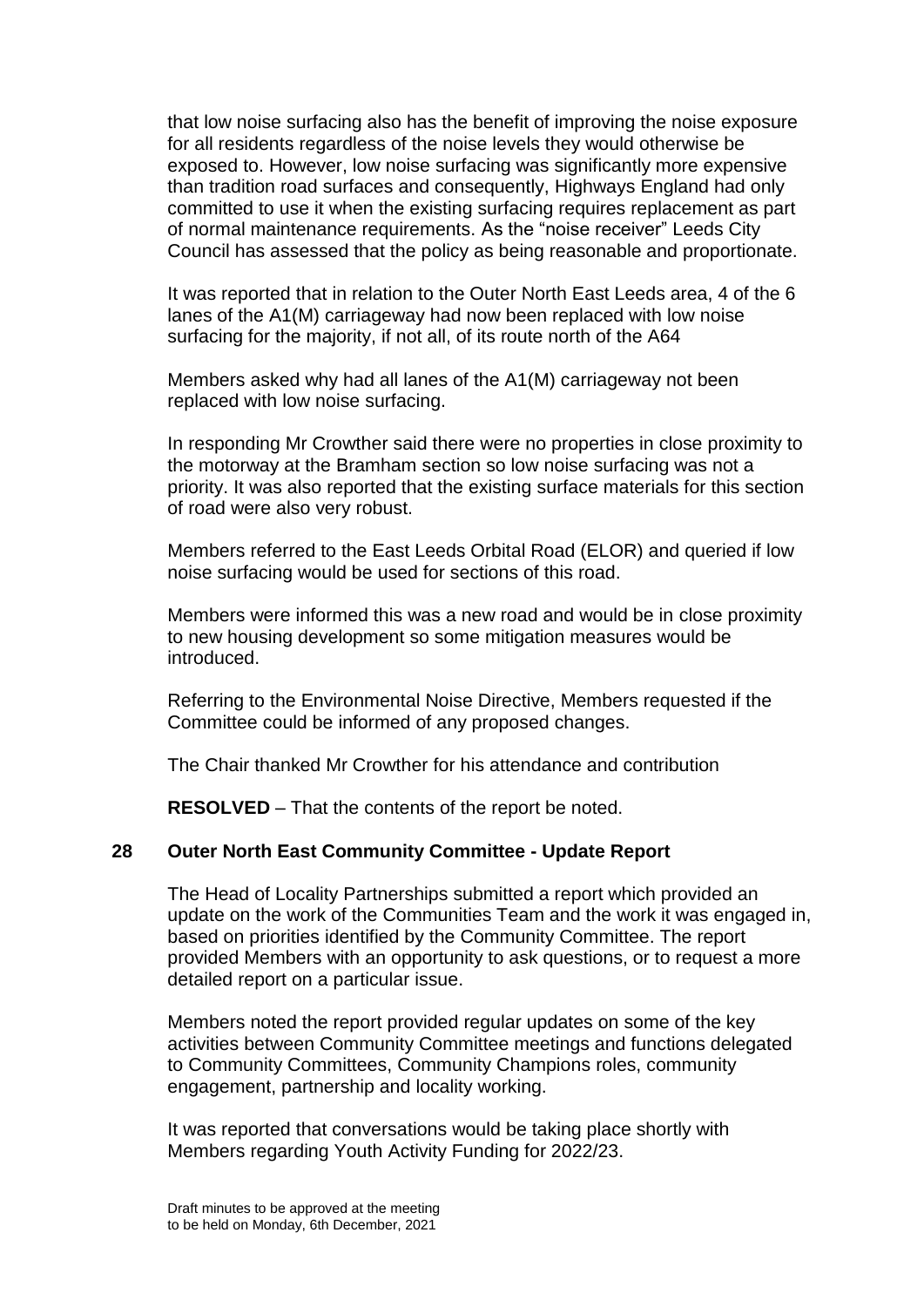that low noise surfacing also has the benefit of improving the noise exposure for all residents regardless of the noise levels they would otherwise be exposed to. However, low noise surfacing was significantly more expensive than tradition road surfaces and consequently, Highways England had only committed to use it when the existing surfacing requires replacement as part of normal maintenance requirements. As the "noise receiver" Leeds City Council has assessed that the policy as being reasonable and proportionate.

It was reported that in relation to the Outer North East Leeds area, 4 of the 6 lanes of the A1(M) carriageway had now been replaced with low noise surfacing for the majority, if not all, of its route north of the A64

Members asked why had all lanes of the A1(M) carriageway not been replaced with low noise surfacing.

In responding Mr Crowther said there were no properties in close proximity to the motorway at the Bramham section so low noise surfacing was not a priority. It was also reported that the existing surface materials for this section of road were also very robust.

Members referred to the East Leeds Orbital Road (ELOR) and queried if low noise surfacing would be used for sections of this road.

Members were informed this was a new road and would be in close proximity to new housing development so some mitigation measures would be introduced.

Referring to the Environmental Noise Directive, Members requested if the Committee could be informed of any proposed changes.

The Chair thanked Mr Crowther for his attendance and contribution

**RESOLVED** – That the contents of the report be noted.

## **28 Outer North East Community Committee - Update Report**

The Head of Locality Partnerships submitted a report which provided an update on the work of the Communities Team and the work it was engaged in, based on priorities identified by the Community Committee. The report provided Members with an opportunity to ask questions, or to request a more detailed report on a particular issue.

Members noted the report provided regular updates on some of the key activities between Community Committee meetings and functions delegated to Community Committees, Community Champions roles, community engagement, partnership and locality working.

It was reported that conversations would be taking place shortly with Members regarding Youth Activity Funding for 2022/23.